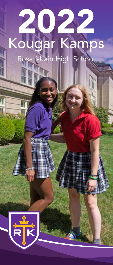# 2022 Kougar Kamps Rosati-Kain High School

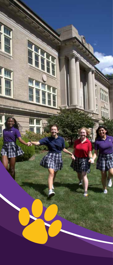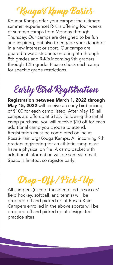## Kougar Kamp Basics

Kougar Kamps offer your camper the ultimate summer experience! R-K is offering four weeks of summer camps from Monday through Thursday. Our camps are designed to be fun and inspiring, but also to engage your daughter in a new interest or sport. Our camps are geared toward students entering 5th through 8th grades and R-K's incoming 9th graders through 12th grade. Please check each camp for specific grade restrictions.

## Early Bird Registration

Registration between March 1, 2022 through May 15, 2022 will receive an early bird pricing of \$100 for each camp listed. After May 15, all camps are offered at \$125. Following the initial camp purchase, you will receive \$10 off for each additional camp you choose to attend. Registration must be completed online at Rosati-Kain.org/KougarKamps. All incoming 9th graders registering for an athletic camp must have a physical on file. A camp packet with additional information will be sent via email. Space is limited, so register early!

## Drop-Off/ Pick-Up

All campers (except those enrolled in soccer/ field hockey, softball, and tennis) will be dropped off and picked up at Rosati-Kain. Campers enrolled in the above sports will be dropped off and picked up at designated practice sites.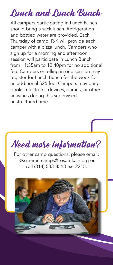Lunch and Lunch Bunch

All campers participating in Lunch Bunch should bring a sack lunch. Refrigeration and bottled water are provided. Each Thursday of camp, R-K will provide each camper with a pizza lunch. Campers who sign up for a morning and afternoon session will participate in Lunch Bunch from 11:35am to 12:40pm for no additional fee. Campers enrolling in one session may register for Lunch Bunch for the week for an additional \$25 fee. Campers may bring books, electronic devices, games, or other activities during this supervised unstructured time.



For other camp questions, please email: RKsummercamps@rosati-kain.org or call (314) 533-8513 ext 2215.

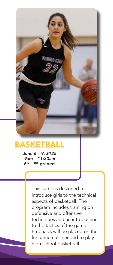

#### BASKETBALL

*June 6 – 9, \$125 9am – 11:30am 6th – 9th graders*

> This camp is designed to introduce girls to the technical aspects of basketball. The program includes training on defensive and offensive techniques and an introduction to the tactics of the game. Emphasis will be placed on the fundamentals needed to play high school basketball.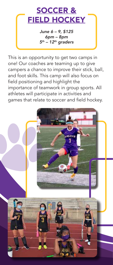

*June 6 – 9, \$125 6pm – 8pm 5th – 12th graders*

This is an opportunity to get two camps in one! Our coaches are teaming up to give campers a chance to improve their stick, ball, and foot skills. This camp will also focus on field positioning and highlight the importance of teamwork in group sports. All athletes will participate in activities and games that relate to soccer and field hockey.

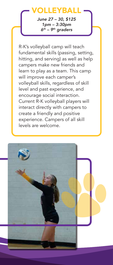### VOLLEYBALL

*June 27 – 30, \$125 1pm – 3:30pm 6th – 9th graders* 

R-K's volleyball camp will teach fundamental skills (passing, setting, hitting, and serving) as well as help campers make new friends and learn to play as a team. This camp will improve each camper's volleyball skills, regardless of skill level and past experience, and encourage social interaction. Current R-K volleyball players will interact directly with campers to create a friendly and positive experience. Campers of all skill levels are welcome.

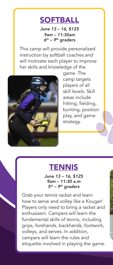#### **SOFTBALL**

*June 13 – 16, \$125 9am – 11:30am 6th – 9th graders*

This camp will provide personalized instruction by softball coaches and will motivate each player to improve her skills and knowledge of the



game. The camp targets players of all skill levels. Skill areas include hitting, fielding, bunting, position play, and game strategy.

#### **TENNIS**

*June 13 – 16, \$125 9am – 11:30 a.m 5th – 9th graders*

Grab your tennis racket and learn how to serve and volley like a Kougar! Players only need to bring a racket and enthusiasm. Campers will learn the fundamental skills of tennis, including grips, forehands, backhands, footwork, volleys, and serves. In addition, campers will learn the rules and etiquette involved in playing the game.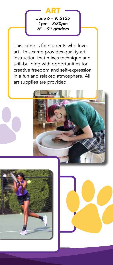ART *June 6 – 9, \$125 1pm – 3:30pm 6th – 9th graders*

This camp is for students who love art. This camp provides quality art instruction that mixes technique and skill-building with opportunities for creative freedom and self-expression in a fun and relaxed atmosphere. All art supplies are provided.

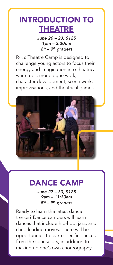#### INTRODUCTION TO **THEATRE**

*June 20 – 23, \$125 1pm – 3:30pm 6th – 9th graders*

R-K's Theatre Camp is designed to challenge young actors to focus their energy and imagination into theatrical warm ups, monologue work, character development, scene work, improvisations, and theatrical games.



#### DANCE CAMP

*June 27 – 30, \$125 9am – 11:30am 5th – 9th graders*

Ready to learn the latest dance trends? Dance campers will learn dances that include hip-hop, jazz, and cheerleading moves. There will be opportunities to learn specific dances from the counselors, in addition to making up one's own choreography.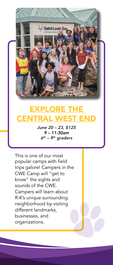

111111

Saint Louis Zo

*June 20 – 23, \$125 9 – 11:30am 6th – 9th graders*

This is one of our most popular camps with field trips galore! Campers in the CWE Camp will "get to know" the sights and sounds of the CWE. Campers will learn about R-K's unique surrounding neighborhood by visiting different landmarks, businesses, and organizations.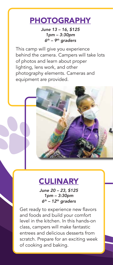#### PHOTOGRAPHY

*June 13 – 16, \$125 1pm – 3:30pm 6th – 9th graders*

This camp will give you experience behind the camera. Campers will take lots of photos and learn about proper lighting, lens work, and other photography elements. Cameras and equipment are provided.

#### **CULINARY**

*June 20 – 23, \$125 1pm – 3:30pm 6th – 12th graders*

Get ready to experience new flavors and foods and build your comfort level in the kitchen. In this hands-on class, campers will make fantastic entrees and delicious desserts from scratch. Prepare for an exciting week of cooking and baking.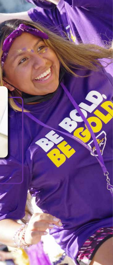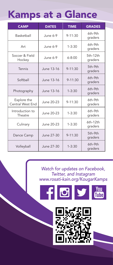## Kamps at a Glance

| <b>CAMP</b>                     | <b>DATES</b> | <b>TIME</b> | <b>GRADES</b>         |
|---------------------------------|--------------|-------------|-----------------------|
| Basketball                      | June $6-9$   | $9 - 11:30$ | 6th-9th<br>graders    |
| Art                             | June $6-9$   | $1 - 3:30$  | 6th-9th<br>graders    |
| Soccer & Field<br>Hockey        | June $6-9$   | $6 - 8:00$  | 5th-12th<br>graders   |
| Tennis                          | June 13-16   | $9 - 11:30$ | 5th-9th<br>graders    |
| Softball                        | June 13-16   | $9 - 11:30$ | 6th-9th<br>graders    |
| Photography                     | June 13-16   | $1 - 3:30$  | 6th-9th<br>graders    |
| Explore the<br>Central West End | June 20-23   | $9 - 11:30$ | 6th-9th<br>graders    |
| Introduction to<br>Theatre      | June 20-23   | $1 - 3:30$  | 6th-9th<br>graders    |
| Culinary                        | June 20-23   | $1 - 3:30$  | $6th-12th$<br>graders |
| Dance Camp                      | June 27-30   | $9 - 11:30$ | 5th-9th<br>graders    |
| Volleyball                      | June 27-30   | $1 - 3:30$  | 6th-9th<br>graders    |

#### *Watch for updates on Facebook, Twitter, and Instagram www.rosati-kain.org/KougarKamps*

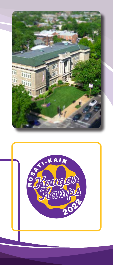